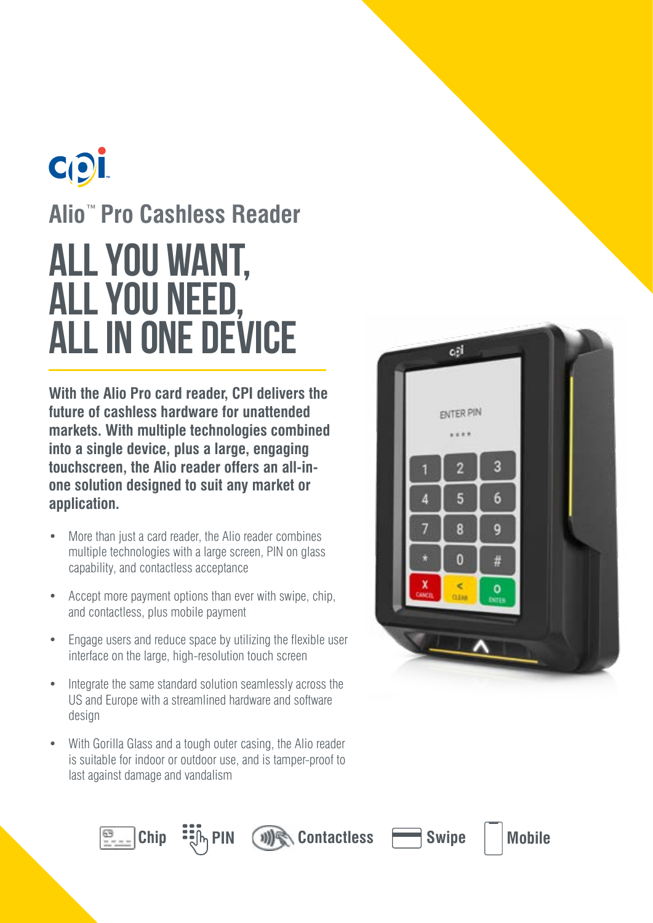# COL **Alio**™ **Pro Cashless Reader ALL YOU WANT, ALL YOU NEED, ALL IN ONE DEVICE**

**With the Alio Pro card reader, CPI delivers the future of cashless hardware for unattended markets. With multiple technologies combined into a single device, plus a large, engaging touchscreen, the Alio reader offers an all-inone solution designed to suit any market or application.**

- More than just a card reader, the Alio reader combines multiple technologies with a large screen, PIN on glass capability, and contactless acceptance
- Accept more payment options than ever with swipe, chip, and contactless, plus mobile payment
- Engage users and reduce space by utilizing the flexible user interface on the large, high-resolution touch screen
- Integrate the same standard solution seamlessly across the US and Europe with a streamlined hardware and software design
- With Gorilla Glass and a tough outer casing, the Alio reader is suitable for indoor or outdoor use, and is tamper-proof to last against damage and vandalism







**Chip PIN** *(1)***) Contactless <b>Swipe** Mobile